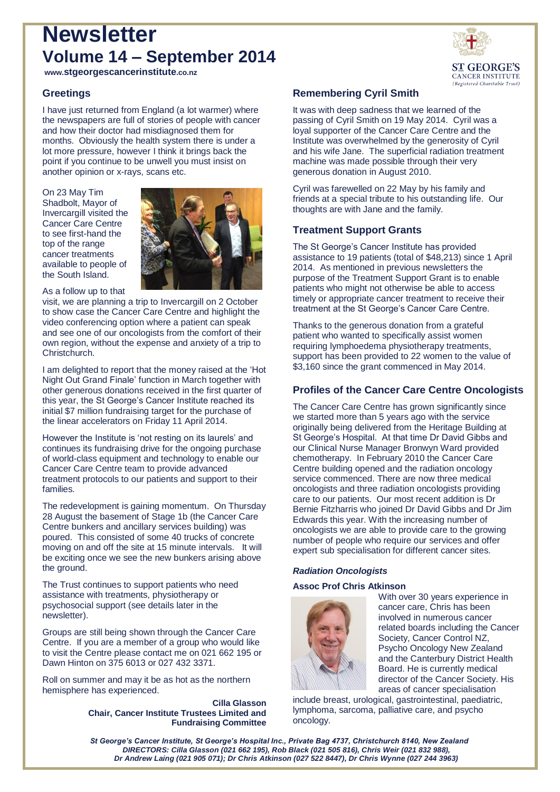# **Newsletter Volume 14 – September 2014**



**www.stgeorgescancerinstitute.co.nz**

# **Greetings**

I have just returned from England (a lot warmer) where the newspapers are full of stories of people with cancer and how their doctor had misdiagnosed them for months. Obviously the health system there is under a lot more pressure, however I think it brings back the point if you continue to be unwell you must insist on another opinion or x-rays, scans etc.

On 23 May Tim Shadbolt, Mayor of Invercargill visited the Cancer Care Centre to see first-hand the top of the range cancer treatments available to people of the South Island.



As a follow up to that

visit, we are planning a trip to Invercargill on 2 October to show case the Cancer Care Centre and highlight the video conferencing option where a patient can speak and see one of our oncologists from the comfort of their own region, without the expense and anxiety of a trip to Christchurch.

I am delighted to report that the money raised at the 'Hot Night Out Grand Finale' function in March together with other generous donations received in the first quarter of this year, the St George's Cancer Institute reached its initial \$7 million fundraising target for the purchase of the linear accelerators on Friday 11 April 2014.

However the Institute is 'not resting on its laurels' and continues its fundraising drive for the ongoing purchase of world-class equipment and technology to enable our Cancer Care Centre team to provide advanced treatment protocols to our patients and support to their families.

The redevelopment is gaining momentum. On Thursday 28 August the basement of Stage 1b (the Cancer Care Centre bunkers and ancillary services building) was poured. This consisted of some 40 trucks of concrete moving on and off the site at 15 minute intervals. It will be exciting once we see the new bunkers arising above the ground.

The Trust continues to support patients who need assistance with treatments, physiotherapy or psychosocial support (see details later in the newsletter).

Groups are still being shown through the Cancer Care Centre. If you are a member of a group who would like to visit the Centre please contact me on 021 662 195 or Dawn Hinton on 375 6013 or 027 432 3371.

Roll on summer and may it be as hot as the northern hemisphere has experienced.

> **Cilla Glasson Chair, Cancer Institute Trustees Limited and Fundraising Committee**

# **Remembering Cyril Smith**

It was with deep sadness that we learned of the passing of Cyril Smith on 19 May 2014. Cyril was a loyal supporter of the Cancer Care Centre and the Institute was overwhelmed by the generosity of Cyril and his wife Jane. The superficial radiation treatment machine was made possible through their very generous donation in August 2010.

Cyril was farewelled on 22 May by his family and friends at a special tribute to his outstanding life. Our thoughts are with Jane and the family.

# **Treatment Support Grants**

The St George's Cancer Institute has provided assistance to 19 patients (total of \$48,213) since 1 April 2014. As mentioned in previous newsletters the purpose of the Treatment Support Grant is to enable patients who might not otherwise be able to access timely or appropriate cancer treatment to receive their treatment at the St George's Cancer Care Centre.

Thanks to the generous donation from a grateful patient who wanted to specifically assist women requiring lymphoedema physiotherapy treatments, support has been provided to 22 women to the value of \$3,160 since the grant commenced in May 2014.

## **Profiles of the Cancer Care Centre Oncologists**

The Cancer Care Centre has grown significantly since we started more than 5 years ago with the service originally being delivered from the Heritage Building at St George's Hospital. At that time Dr David Gibbs and our Clinical Nurse Manager Bronwyn Ward provided chemotherapy. In February 2010 the Cancer Care Centre building opened and the radiation oncology service commenced. There are now three medical oncologists and three radiation oncologists providing care to our patients. Our most recent addition is Dr Bernie Fitzharris who joined Dr David Gibbs and Dr Jim Edwards this year. With the increasing number of oncologists we are able to provide care to the growing number of people who require our services and offer expert sub specialisation for different cancer sites.

## *Radiation Oncologists*

### **Assoc Prof Chris Atkinson**



With over 30 years experience in cancer care, Chris has been involved in numerous cancer related boards including the Cancer Society, Cancer Control NZ, Psycho Oncology New Zealand and the Canterbury District Health Board. He is currently medical director of the Cancer Society. His areas of cancer specialisation

include breast, urological, gastrointestinal, paediatric, lymphoma, sarcoma, palliative care, and psycho oncology.

*St George's Cancer Institute, St George's Hospital Inc., Private Bag 4737, Christchurch 8140, New Zealand DIRECTORS: Cilla Glasson (021 662 195), Rob Black (021 505 816), Chris Weir (021 832 988), Dr Andrew Laing (021 905 071); Dr Chris Atkinson (027 522 8447), Dr Chris Wynne (027 244 3963)*